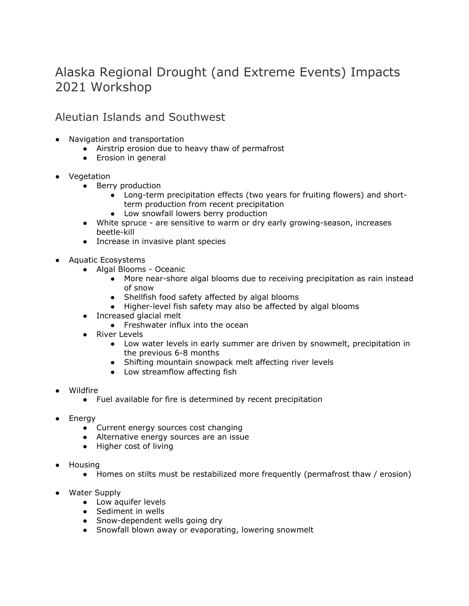# Alaska Regional Drought (and Extreme Events) Impacts 2021 Workshop

Aleutian Islands and Southwest

- Navigation and transportation
	- Airstrip erosion due to heavy thaw of permafrost
	- Erosion in general
- Vegetation
	- Berry production
		- Long-term precipitation effects (two years for fruiting flowers) and shortterm production from recent precipitation
		- Low snowfall lowers berry production
	- White spruce are sensitive to warm or dry early growing-season, increases beetle-kill
	- Increase in invasive plant species
- Aquatic Ecosystems
	- Algal Blooms Oceanic
		- More near-shore algal blooms due to receiving precipitation as rain instead of snow
		- Shellfish food safety affected by algal blooms
		- Higher-level fish safety may also be affected by algal blooms
	- Increased glacial melt
		- Freshwater influx into the ocean
	- River Levels
		- Low water levels in early summer are driven by snowmelt, precipitation in the previous 6-8 months
		- Shifting mountain snowpack melt affecting river levels
		- Low streamflow affecting fish
- **Wildfire** 
	- Fuel available for fire is determined by recent precipitation
- Energy
	- Current energy sources cost changing
	- Alternative energy sources are an issue
	- Higher cost of living
- **Housing** 
	- Homes on stilts must be restabilized more frequently (permafrost thaw / erosion)
- Water Supply
	- Low aquifer levels
	- Sediment in wells
	- Snow-dependent wells going dry
	- Snowfall blown away or evaporating, lowering snowmelt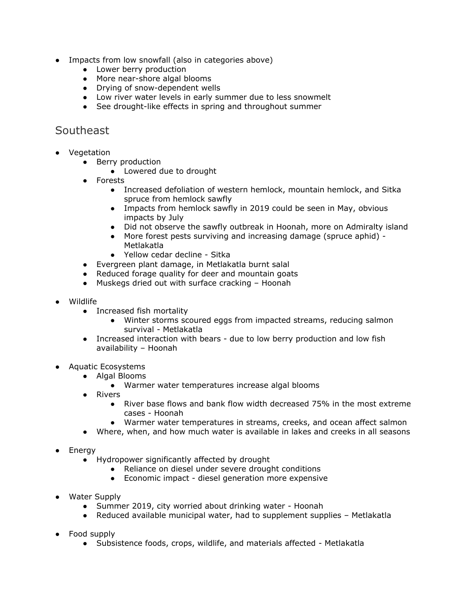- Impacts from low snowfall (also in categories above)
	- Lower berry production
	- More near-shore algal blooms
	- Drying of snow-dependent wells
	- Low river water levels in early summer due to less snowmelt
	- See drought-like effects in spring and throughout summer

#### Southeast

- Vegetation
	- Berry production
		- Lowered due to drought
	- Forests
		- Increased defoliation of western hemlock, mountain hemlock, and Sitka spruce from hemlock sawfly
		- Impacts from hemlock sawfly in 2019 could be seen in May, obvious impacts by July
		- Did not observe the sawfly outbreak in Hoonah, more on Admiralty island
		- More forest pests surviving and increasing damage (spruce aphid) -Metlakatla
		- Yellow cedar decline Sitka
	- Evergreen plant damage, in Metlakatla burnt salal
	- Reduced forage quality for deer and mountain goats
	- Muskegs dried out with surface cracking Hoonah
- Wildlife
	- Increased fish mortality
		- Winter storms scoured eggs from impacted streams, reducing salmon survival - Metlakatla
	- Increased interaction with bears due to low berry production and low fish availability – Hoonah
- Aquatic Ecosystems
	- Algal Blooms
		- Warmer water temperatures increase algal blooms
		- Rivers
			- River base flows and bank flow width decreased 75% in the most extreme cases - Hoonah
			- Warmer water temperatures in streams, creeks, and ocean affect salmon
		- Where, when, and how much water is available in lakes and creeks in all seasons
- Energy
	- Hydropower significantly affected by drought
		- Reliance on diesel under severe drought conditions
		- Economic impact diesel generation more expensive
- Water Supply
	- Summer 2019, city worried about drinking water Hoonah
	- Reduced available municipal water, had to supplement supplies Metlakatla
- Food supply
	- Subsistence foods, crops, wildlife, and materials affected Metlakatla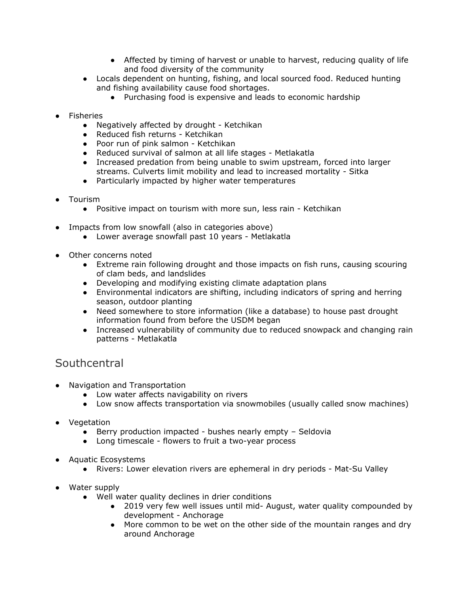- Affected by timing of harvest or unable to harvest, reducing quality of life and food diversity of the community
- Locals dependent on hunting, fishing, and local sourced food. Reduced hunting and fishing availability cause food shortages.
	- Purchasing food is expensive and leads to economic hardship
- Fisheries
	- Negatively affected by drought Ketchikan
	- Reduced fish returns Ketchikan
	- Poor run of pink salmon Ketchikan
	- Reduced survival of salmon at all life stages Metlakatla
	- Increased predation from being unable to swim upstream, forced into larger streams. Culverts limit mobility and lead to increased mortality - Sitka
	- Particularly impacted by higher water temperatures
- Tourism
	- Positive impact on tourism with more sun, less rain Ketchikan
- Impacts from low snowfall (also in categories above)
	- Lower average snowfall past 10 years Metlakatla
- Other concerns noted
	- Extreme rain following drought and those impacts on fish runs, causing scouring of clam beds, and landslides
	- Developing and modifying existing climate adaptation plans
	- Environmental indicators are shifting, including indicators of spring and herring season, outdoor planting
	- Need somewhere to store information (like a database) to house past drought information found from before the USDM began
	- Increased vulnerability of community due to reduced snowpack and changing rain patterns - Metlakatla

## **Southcentral**

- Navigation and Transportation
	- Low water affects navigability on rivers
	- Low snow affects transportation via snowmobiles (usually called snow machines)
- Vegetation
	- Berry production impacted bushes nearly empty Seldovia
	- Long timescale flowers to fruit a two-year process
- Aquatic Ecosystems
	- Rivers: Lower elevation rivers are ephemeral in dry periods Mat-Su Valley
- Water supply
	- Well water quality declines in drier conditions
		- 2019 very few well issues until mid- August, water quality compounded by development - Anchorage
		- More common to be wet on the other side of the mountain ranges and dry around Anchorage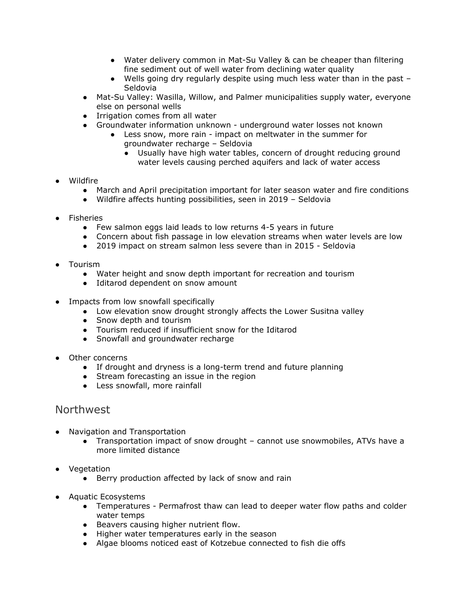- Water delivery common in Mat-Su Valley & can be cheaper than filtering fine sediment out of well water from declining water quality
- Wells going dry regularly despite using much less water than in the past Seldovia
- Mat-Su Valley: Wasilla, Willow, and Palmer municipalities supply water, everyone else on personal wells
- Irrigation comes from all water
- Groundwater information unknown underground water losses not known
	- Less snow, more rain impact on meltwater in the summer for groundwater recharge – Seldovia
		- Usually have high water tables, concern of drought reducing ground water levels causing perched aquifers and lack of water access
- Wildfire
	- March and April precipitation important for later season water and fire conditions
	- Wildfire affects hunting possibilities, seen in 2019 Seldovia
- **Fisheries** 
	- Few salmon eggs laid leads to low returns 4-5 years in future
	- Concern about fish passage in low elevation streams when water levels are low
	- 2019 impact on stream salmon less severe than in 2015 Seldovia
- Tourism
	- Water height and snow depth important for recreation and tourism
	- Iditarod dependent on snow amount
- Impacts from low snowfall specifically
	- Low elevation snow drought strongly affects the Lower Susitna valley
	- Snow depth and tourism
	- Tourism reduced if insufficient snow for the Iditarod
	- Snowfall and groundwater recharge
- Other concerns
	- If drought and dryness is a long-term trend and future planning
	- Stream forecasting an issue in the region
	- Less snowfall, more rainfall

## Northwest

- Navigation and Transportation
	- Transportation impact of snow drought cannot use snowmobiles, ATVs have a more limited distance
- Vegetation
	- Berry production affected by lack of snow and rain
- Aquatic Ecosystems
	- Temperatures Permafrost thaw can lead to deeper water flow paths and colder water temps
	- Beavers causing higher nutrient flow.
	- Higher water temperatures early in the season
	- Algae blooms noticed east of Kotzebue connected to fish die offs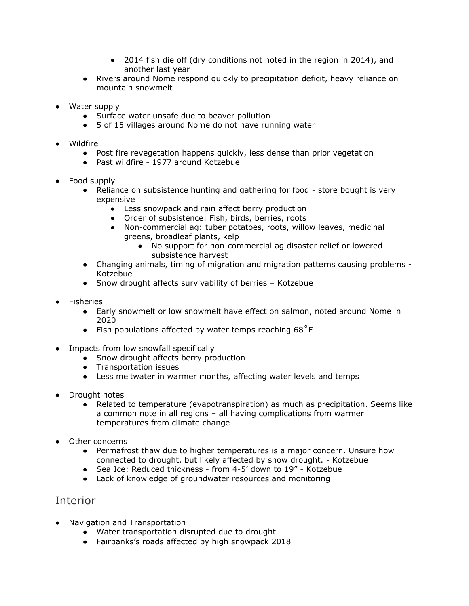- 2014 fish die off (dry conditions not noted in the region in 2014), and another last year
- Rivers around Nome respond quickly to precipitation deficit, heavy reliance on mountain snowmelt
- Water supply
	- Surface water unsafe due to beaver pollution
	- 5 of 15 villages around Nome do not have running water
- Wildfire
	- Post fire revegetation happens quickly, less dense than prior vegetation
	- Past wildfire 1977 around Kotzebue
- Food supply
	- Reliance on subsistence hunting and gathering for food store bought is very expensive
		- Less snowpack and rain affect berry production
		- Order of subsistence: Fish, birds, berries, roots
		- Non-commercial ag: tuber potatoes, roots, willow leaves, medicinal greens, broadleaf plants, kelp
			- No support for non-commercial ag disaster relief or lowered subsistence harvest
	- Changing animals, timing of migration and migration patterns causing problems Kotzebue
	- Snow drought affects survivability of berries Kotzebue
- Fisheries
	- Early snowmelt or low snowmelt have effect on salmon, noted around Nome in 2020
	- Fish populations affected by water temps reaching  $68^{\circ}$ F
- Impacts from low snowfall specifically
	- Snow drought affects berry production
	- Transportation issues
	- Less meltwater in warmer months, affecting water levels and temps
- Drought notes
	- Related to temperature (evapotranspiration) as much as precipitation. Seems like a common note in all regions – all having complications from warmer temperatures from climate change
- Other concerns
	- Permafrost thaw due to higher temperatures is a major concern. Unsure how connected to drought, but likely affected by snow drought. - Kotzebue
	- Sea Ice: Reduced thickness from 4-5' down to 19" Kotzebue
	- Lack of knowledge of groundwater resources and monitoring

## Interior

- Navigation and Transportation
	- Water transportation disrupted due to drought
	- Fairbanks's roads affected by high snowpack 2018